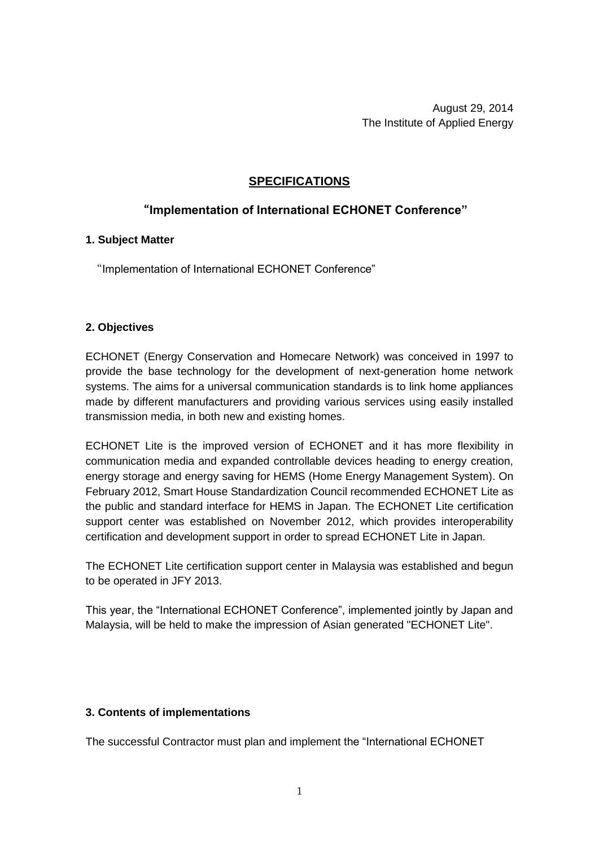August 29, 2014 The Institute of Applied Energy

## **SPECIFICATIONS**

# "**Implementation of International ECHONET Conference"**

## **1. Subject Matter**

"Implementation of International ECHONET Conference"

## **2. Objectives**

ECHONET (Energy Conservation and Homecare Network) was conceived in 1997 to provide the base technology for the development of next-generation home network systems. The aims for a universal communication standards is to link home appliances made by different manufacturers and providing various services using easily installed transmission media, in both new and existing homes.

ECHONET Lite is the improved version of ECHONET and it has more flexibility in communication media and expanded controllable devices heading to energy creation, energy storage and energy saving for HEMS (Home Energy Management System). On February 2012, Smart House Standardization Council recommended ECHONET Lite as the public and standard interface for HEMS in Japan. The ECHONET Lite certification support center was established on November 2012, which provides interoperability certification and development support in order to spread ECHONET Lite in Japan.

The ECHONET Lite certification support center in Malaysia was established and begun to be operated in JFY 2013.

This year, the "International ECHONET Conference", implemented jointly by Japan and Malaysia, will be held to make the impression of Asian generated "ECHONET Lite".

## **3. Contents of implementations**

The successful Contractor must plan and implement the "International ECHONET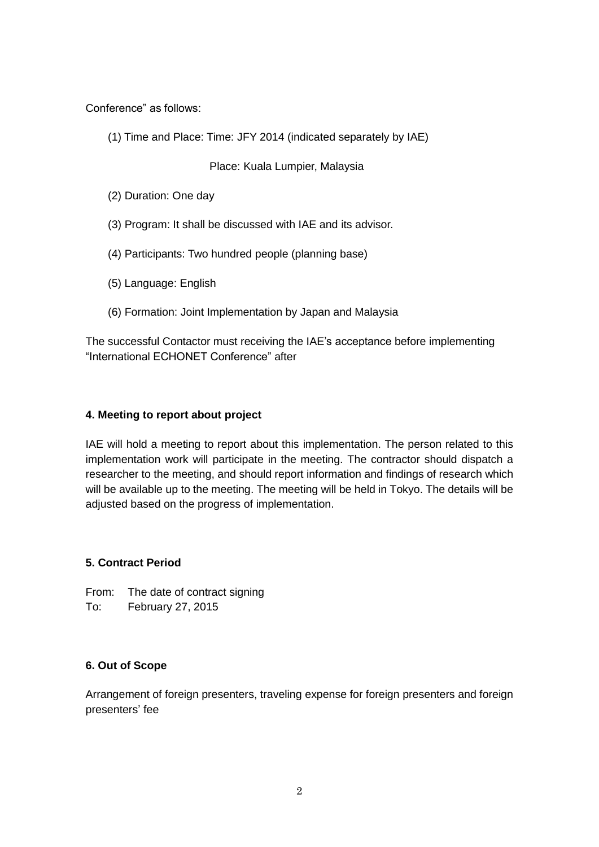Conference" as follows:

(1) Time and Place: Time: JFY 2014 (indicated separately by IAE)

Place: Kuala Lumpier, Malaysia

- (2) Duration: One day
- (3) Program: It shall be discussed with IAE and its advisor.
- (4) Participants: Two hundred people (planning base)
- (5) Language: English
- (6) Formation: Joint Implementation by Japan and Malaysia

The successful Contactor must receiving the IAE's acceptance before implementing "International ECHONET Conference" after

## **4. Meeting to report about project**

IAE will hold a meeting to report about this implementation. The person related to this implementation work will participate in the meeting. The contractor should dispatch a researcher to the meeting, and should report information and findings of research which will be available up to the meeting. The meeting will be held in Tokyo. The details will be adjusted based on the progress of implementation.

## **5. Contract Period**

From: The date of contract signing To: February 27, 2015

#### **6. Out of Scope**

Arrangement of foreign presenters, traveling expense for foreign presenters and foreign presenters' fee